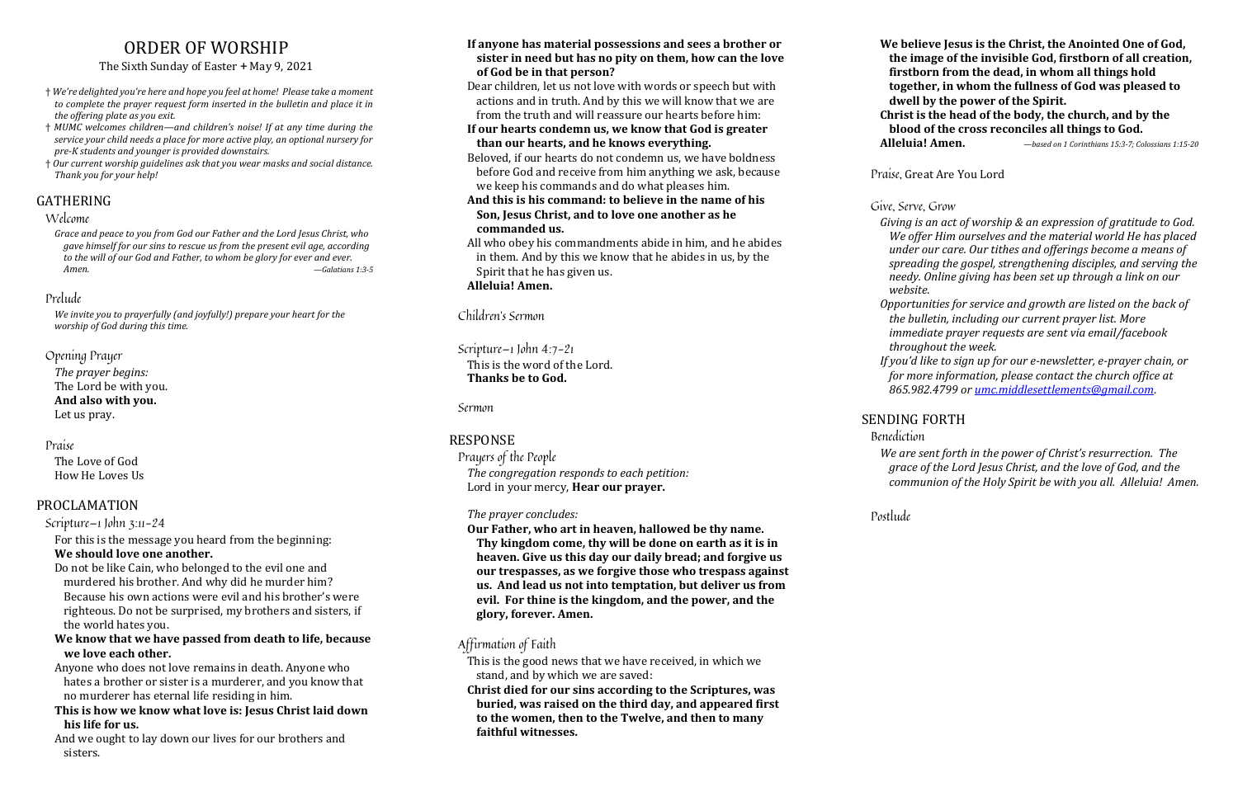# ORDER OF WORSHIP

#### The Sixth Sunday of Easter + May 9, 2021

- † *We're delighted you're here and hope you feel at home! Please take a moment to complete the prayer request form inserted in the bulletin and place it in the offering plate as you exit.*
- † *MUMC welcomes children—and children's noise! If at any time during the service your child needs a place for more active play, an optional nursery for pre-K students and younger is provided downstairs.*
- † *Our current worship guidelines ask that you wear masks and social distance. Thank you for your help!*

#### GATHERING

#### Welcome

*Grace and peace to you from God our Father and the Lord Jesus Christ, who gave himself for our sins to rescue us from the present evil age, according to the will of our God and Father, to whom be glory for ever and ever. Amen. —Galatians 1:3-5*

#### Prelude

*We invite you to prayerfully (and joyfully!) prepare your heart for the worship of God during this time.*

#### Opening Prayer

*The prayer begins:* The Lord be with you. **And also with you.** Let us pray.

#### Praise

The Love of God How He Loves Us

### PROCLAMATION

#### Scripture—1 John 3:11-24

For this is the message you heard from the beginning: **We should love one another.**

Do not be like Cain, who belonged to the evil one and murdered his brother. And why did he murder him? Because his own actions were evil and his brother's were righteous. Do not be surprised, my brothers and sisters, if the world hates you.

#### **We know that we have passed from death to life, because we love each other.**

Anyone who does not love remains in death. Anyone who hates a brother or sister is a murderer, and you know that no murderer has eternal life residing in him.

#### **This is how we know what love is: Jesus Christ laid down his life for us.**

And we ought to lay down our lives for our brothers and sisters.

| If anyone has material possessions and sees a brother or     |
|--------------------------------------------------------------|
| sister in need but has no pity on them, how can the love     |
| of God be in that person?                                    |
| Dear children, let us not love with words or speech but with |
| actions and in truth. And by this we will know that we are   |
| from the truth and will reassure our hearts before him:      |
| If our hearts condemn us, we know that God is greater        |
| than our hearts, and he knows everything.                    |
| Beloved, if our hearts do not condemn us, we have boldness   |
| before God and receive from him anything we ask, because     |
| we keep his commands and do what pleases him.                |
| And this is his command: to believe in the name of his       |
| Son, Jesus Christ, and to love one another as he             |
| commanded us.                                                |
| All who obey his commandments abide in him, and he abides    |
| in them. And by this we know that he abides in us, by the    |
| Spirit that he has given us.                                 |
| Alleluia! Amen.                                              |
|                                                              |
| Children's Sermon                                            |

#### Scripture—1 John 4:7-21 This is the word of the Lord. **Thanks be to God.**

Sermon

### RESPONSE

Prayers of the People *The congregation responds to each petition:* Lord in your mercy, **Hear our prayer.**

#### *The prayer concludes:*

**Our Father, who art in heaven, hallowed be thy name. Thy kingdom come, thy will be done on earth as it is in heaven. Give us this day our daily bread; and forgive us our trespasses, as we forgive those who trespass against us. And lead us not into temptation, but deliver us from evil. For thine is the kingdom, and the power, and the glory, forever. Amen.** 

## Affirmation of Faith

This is the good news that we have received, in which we stand, and by which we are saved:

**Christ died for our sins according to the Scriptures, was buried, was raised on the third day, and appeared first to the women, then to the Twelve, and then to many faithful witnesses.**

**We believe Jesus is the Christ, the Anointed One of God, the image of the invisible God, firstborn of all creation, firstborn from the dead, in whom all things hold together, in whom the fullness of God was pleased to dwell by the power of the Spirit.**

**Christ is the head of the body, the church, and by the blood of the cross reconciles all things to God.** 

**Alleluia! Amen.** *—based on 1 Corinthians 15:3-7; Colossians 1:15-20*

Praise, Great Are You Lord

#### Give, Serve, Grow

*Giving is an act of worship & an expression of gratitude to God. We offer Him ourselves and the material world He has placed under our care. Our tithes and offerings become a means of spreading the gospel, strengthening disciples, and serving the needy. Online giving has been set up through a link on our* 

*website.* 

*Opportunities for service and growth are listed on the back of the bulletin, including our current prayer list. More immediate prayer requests are sent via email/facebook throughout the week.* 

*If you'd like to sign up for our e-newsletter, e-prayer chain, or for more information, please contact the church office at 865.982.4799 o[r umc.middlesettlements@gmail.com](mailto:umc.middlesettlements@gmail.com)*.

# SENDING FORTH

Benediction

*We are sent forth in the power of Christ's resurrection. The grace of the Lord Jesus Christ, and the love of God, and the communion of the Holy Spirit be with you all. Alleluia! Amen.*

Postlude